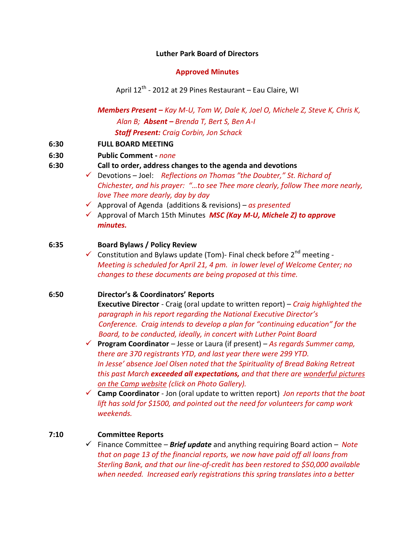### **Luther Park Board of Directors**

## **Approved Minutes**

April 12<sup>th</sup> - 2012 at 29 Pines Restaurant – Eau Claire, WI

*Members Present – Kay M-U, Tom W, Dale K, Joel O, Michele Z, Steve K, Chris K, Alan B; Absent – Brenda T, Bert S, Ben A-I Staff Present: Craig Corbin, Jon Schack*

**6:30 FULL BOARD MEETING**

## **6:30 Public Comment -** *none*

- **6:30 Call to order, address changes to the agenda and devotions**
	- Devotions Joel: *Reflections on Thomas "the Doubter," St. Richard of Chichester, and his prayer: "…to see Thee more clearly, follow Thee more nearly, love Thee more dearly, day by day*
	- Approval of Agenda (additions & revisions) *as presented*
	- Approval of March 15th Minutes *MSC (Kay M-U, Michele Z) to approve minutes.*

# **6:35 Board Bylaws / Policy Review**

 $\checkmark$  Constitution and Bylaws update (Tom)- Final check before 2<sup>nd</sup> meeting -*Meeting is scheduled for April 21, 4 pm. in lower level of Welcome Center; no changes to these documents are being proposed at this time.* 

# **6:50 Director's & Coordinators' Reports**

**Executive Director** - Craig (oral update to written report) – *Craig highlighted the paragraph in his report regarding the National Executive Director's Conference. Craig intends to develop a plan for "continuing education" for the Board, to be conducted, ideally, in concert with Luther Point Board*

- **Program Coordinator** Jesse or Laura (if present) *As regards Summer camp, there are 370 registrants YTD, and last year there were 299 YTD. In Jesse' absence Joel Olsen noted that the Spirituality of Bread Baking Retreat this past March exceeded all expectations, and that there are wonderful pictures on the Camp website (click on Photo Gallery).*
- **Camp Coordinator** Jon (oral update to written report) *Jon reports that the boat lift has sold for \$1500, and pointed out the need for volunteers for camp work weekends.*

# **7:10 Committee Reports**

 Finance Committee – *Brief update* and anything requiring Board action – *Note that on page 13 of the financial reports, we now have paid off all loans from Sterling Bank, and that our line-of-credit has been restored to \$50,000 available when needed. Increased early registrations this spring translates into a better*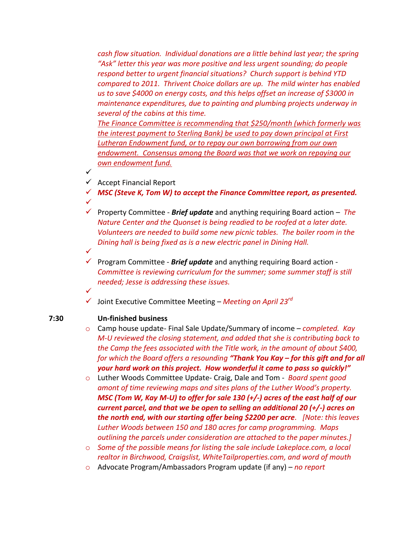*cash flow situation. Individual donations are a little behind last year; the spring "Ask" letter this year was more positive and less urgent sounding; do people respond better to urgent financial situations? Church support is behind YTD compared to 2011. Thrivent Choice dollars are up. The mild winter has enabled us to save \$4000 on energy costs, and this helps offset an increase of \$3000 in maintenance expenditures, due to painting and plumbing projects underway in several of the cabins at this time.* 

*The Finance Committee is recommending that \$250/month (which formerly was the interest payment to Sterling Bank) be used to pay down principal at First Lutheran Endowment fund, or to repay our own borrowing from our own endowment. Consensus among the Board was that we work on repaying our own endowment fund.* 

 $\checkmark$  Accept Financial Report

 $\checkmark$ 

 $\checkmark$ 

 $\checkmark$ 

- *MSC (Steve K, Tom W) to accept the Finance Committee report, as presented.* ✓
- Property Committee *Brief update* and anything requiring Board action *The Nature Center and the Quonset is being readied to be roofed at a later date. Volunteers are needed to build some new picnic tables. The boiler room in the Dining hall is being fixed as is a new electric panel in Dining Hall.*
- $\checkmark$  Program Committee **Brief update** and anything requiring Board action -*Committee is reviewing curriculum for the summer; some summer staff is still needed; Jesse is addressing these issues.*
- Joint Executive Committee Meeting *Meeting on April 23rd*

## **7:30 Un-finished business**

- o Camp house update- Final Sale Update/Summary of income *completed. Kay M-U reviewed the closing statement, and added that she is contributing back to the Camp the fees associated with the Title work, in the amount of about \$400, for which the Board offers a resounding "Thank You Kay – for this gift and for all your hard work on this project. How wonderful it came to pass so quickly!"*
- o Luther Woods Committee Update- Craig, Dale and Tom *Board spent good amont of time reviewing maps and sites plans of the Luther Wood's property. MSC (Tom W, Kay M-U) to offer for sale 130 (+/-) acres of the east half of our current parcel, and that we be open to selling an additional 20 (+/-) acres on the north end, with our starting offer being \$2200 per acre. [Note: this leaves Luther Woods between 150 and 180 acres for camp programming. Maps outlining the parcels under consideration are attached to the paper minutes.]*
- o *Some of the possible means for listing the sale include Lakeplace.com, a local realtor in Birchwood, Craigslist, WhiteTailproperties.com, and word of mouth*
- o Advocate Program/Ambassadors Program update (if any) *no report*